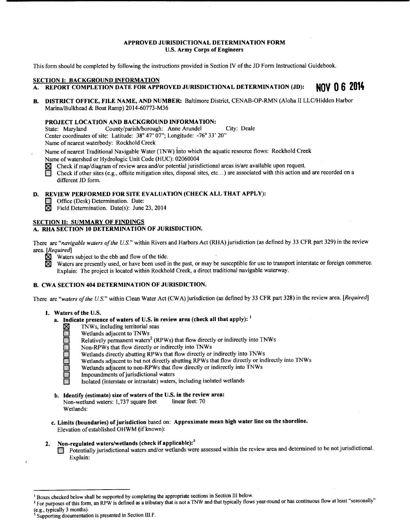# APPROVED JURISDICTIONAL DETERMINATION FORM U.S. Army Corps of Engineers

This form should be completed by following the instructions provided in Section IV of the JD Form Instructional Guidebook.

# SECTION 1: BACKGROUND INFORMATION

# A. REPORT COMPLETION DATE FOR APPROVED JURISDICTIONAL DETERMINATION (JD): **NOV 0 6 2014**

B. DISTRICT OFFICE, FILE NAME, AND NUMBER: Baltimore District, CENAB-OP-RMN (Aloha II LLC/Hidden Harbor Marina/Bulkhead & Boat Ramp) 2014-60773-M36

# PROJECT LOCATION AND BACKGROUND INFORMATION:

State: Maryland County/parish/borough: Anne Arundel City: Deale Center coordinates of site: Latitude: 38° 47' 07"; Longitude: -76° 33' 20" Name of nearest waterbody: Rockhold Creek

Name of nearest Traditional Navigable Water (TNW) into which the aquatic resource flows: Rockhold Creek Name of watershed or Hydrologic Unit Code (HUC): 02060004

- $\boxtimes$  Check if map/diagram of review area and/or potential jurisdictional areas is/are available upon request.
	- 0 Check if other sites (e.g., offsite mitigation sites, disposal sites, etc ... ) are associated with this action and are recorded on a different JD form.

## D. REVIEW PERFORMED FOR SITE EVALUATION (CHECK ALL THAT APPLY):

- **Desk**) Determination. Date:
- $\boxtimes$  Field Determination. Date(s): June 23, 2014

### SECTION II: SUMMARY OF FINDINGS A. RHA SECTION 10 DETERMINATION OF JURISDICTION.

There are *"navigable waters of the U.S."* within Rivers and Harbors Act (RHA) jurisdiction (as defined by 33 CFR part 329) in the review area. *[Required]* 

- 
- $\boxtimes$  Waters subject to the ebb and flow of the tide.<br>  $\boxtimes$  Waters are presently used, or have been used i Waters are presently used, or have been used in the past, or may be susceptible for use to transport interstate or foreign commerce. Explain: The project is located within Rockhold Creek, a direct traditional navigable waterway.

# B. CWA SECTION 404 DETERMINATION OF JURISDICTION.

There are *"waters of the U.S."* within Clean Water Act (CW A) jurisdiction (as defined by 33 CFR part 328) in the review area. *[Required]* 

# 1. Waters of the U.S.

- a. Indicate presence of waters of U.S. in review area (check all that apply):  $<sup>1</sup>$ </sup>
	- TNWs, including territorial seas
	- Wetlands adjacent to TNWs
	- **Example 2 Relatively permanent waters<sup>2</sup> (RPWs) that flow directly or indirectly into TNWs** 
		- Non-RPWs that flow directly or indirectly into TNWs
		- 0 Wetlands directly abutting RPWs that flow directly or indirectly into TNWs
		- Wetlands adjacent to but not directly abutting RPWs that flow directly or indirectly into TNWs
	- Wetlands adjacent to non-RPWs that flow directly or indirectly into TNWs<br>Impoundments of jurisdictional waters
	- **1** Impoundments of jurisdictional waters<br>Isolated (interstate or intrastate) waters
		- 0 Isolated (interstate or intrastate) waters, including isolated wetlands
- b. Identify (estimate) size of waters of the U.S. in the review area: Non-wetland waters: 1,737 square feet linear feet: 70 Wetlands:
- c. Limits (boundaries) of jurisdiction based on: Approximate mean high water line on the shoreline. Elevation of established OHWM (if known):

# 2. Non-regulated waters/wetlands (check if applicable): $3$

Potentially jurisdictional waters and/or wetlands were assessed within the review area and determined to be not jurisdictional. Explain:

<sup>&</sup>lt;sup>1</sup> Boxes checked below shall be supported by completing the appropriate sections in Section III below.<br><sup>2</sup> For purposes of this form, an RPW is defined as a tributary that is not a TNW and that typically flows year-round

<sup>(</sup>e.g., typically 3 months).  $3$  Supporting documentation is presented in Section III.F.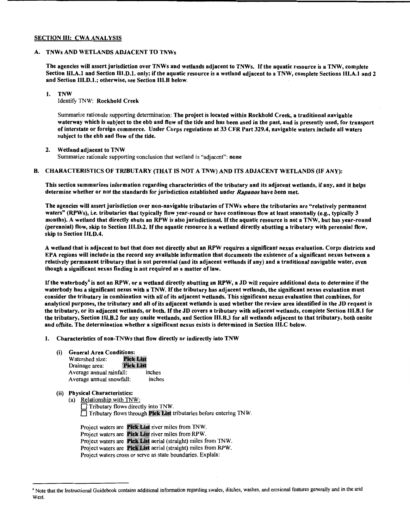## SECTION III: CWA ANALYSIS

## A. TNWs AND WETLANDS ADJACENT TO TNWs

The agencies will assert jurisdiction over TNWs and wetlands adjacent to TNWs. If the aquatic resource is a TNW, complete Section III.A.l and Section III.D.l. only; if the aquatic resource is a wetland adjacent to a TNW, complete Sections III.A.l and 2 and Section III.D.l.; otherwise, see Section III.B below.

#### 1. TNW

Identify TNW: Rockhold Creek

Summarize rationale supporting determination: The project is located within Rockhold Creek, a traditional navigable waterway which is subject to the ebb and flow of the tide and has been used in the past, and is presently used, for transport of interstate or foreign commerce. Under Corps regulations at 33 CFR Part 329.4, navigable waters include all waters subject to the ebb and flow of the tide.

## 2. Wetland adjacent to TNW

Summarize rationale supporting conclusion that wetland is "adjacent": none

# B. CHARACTERISTICS OF TRIBUTARY (THAT IS NOT A TNW) AND ITS ADJACENT WETLANDS (IF ANY):

This section summarizes information regarding characteristics of the tributary and its adjacent wetlands, if any, and it helps determine whether or not the standards for jurisdiction established under *Rapanos* have been met.

The agencies will assert jurisdiction over non-navigable tributaries of TNWs where the tributaries are "relatively permanent waters" (RPWs), i.e. tributaries that typically flow year-round or have continuous flow at least seasonally (e.g., typically 3 months). A wetland that directly abuts an RPW is also jurisdictional. If the aquatic resource is not a TNW, but has year-round (perennial) flow, skip to Section III.D.2. lfthe aquatic resource is a wetland directly abutting a tributary with perennial flow, skip to Section III.D.4.

A wetland that is adjacent to but that does not directly abut an RPW requires a significant nexus evaluation. Corps districts and EPA regions will include in the record any available information that documents the existence of a significant nexus between a relatively permanent tributary that is not perennial (and its adjacent wetlands if any) and a traditional navigable water, even though a significant nexus finding is not required as a matter of law.

If the waterbody<sup>4</sup> is not an RPW, or a wetland directly abutting an RPW, a JD will require additional data to determine if the waterbody has a significant nexus with a TNW. If the tributary has adjacent wetlands, the significant nexus evaluation must consider the tributary in combination with all of its adjacent wetlands. This significant nexus evaluation that combines, for analytical purposes, the tributary and all of its adjacent wetlands is used whether the review area identified in the JD request is the tributary, or its adjacent wetlands, or both. If the JD covers a tributary with adjacent wetlands, complete Section III.B.l for the tributary, Section III.B.2 for any onsite wetlands, and Section III.B.3 for all wetlands adjacent to that tributary, both onsite and offsite. The determination whether a significant nexus exists is determined in Section III.C below.

- 1. Characteristics of non-TNWs that flow directly or indirectly into TNW
	-
	- (i) General Area Conditions:<br>Watershed size: Pick List Watershed size: **Pick List**<br>Drainage area: **Pick List** Drainage area: Average annual rainfall: inches Average annual snowfall: inches
	- (ii) Physical Characteristics:
		- (a) Relationship with TNW:
			- Tributary flows directly into TNW.  $\Box$  Tributary flows through Pick List tributaries before entering TNW.

Project waters are **Pick List** river miles from TNW. Project waters are **Pick List** river miles from RPW. Project waters are **Pick List** aerial (straight) miles from TNW. Project waters are **Pick List** aerial (straight) miles from RPW. Project waters cross or serve as state boundaries. Explain:

<sup>&</sup>lt;sup>4</sup> Note that the Instructional Guidebook contains additional information regarding swales, ditches, washes, and erosional features generally and in the arid West.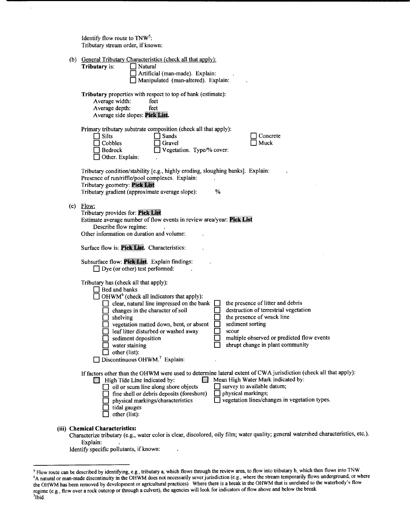Identify flow route to  $TW^5$ : Tributary stream order, if known:

 $\bar{\beta}$ 

|  | (b) General Tributary Characteristics (check all that apply):<br>Tributary is:<br>Natural<br>Artificial (man-made). Explain:<br>Manipulated (man-altered). Explain:                                                                                                                                                                                                                                                                                                                                                                                                                                                                                   |
|--|-------------------------------------------------------------------------------------------------------------------------------------------------------------------------------------------------------------------------------------------------------------------------------------------------------------------------------------------------------------------------------------------------------------------------------------------------------------------------------------------------------------------------------------------------------------------------------------------------------------------------------------------------------|
|  | <b>Tributary</b> properties with respect to top of bank (estimate):<br>Average width:<br>feet<br>Average depth:<br>feet<br>Average side slopes: Pick List.                                                                                                                                                                                                                                                                                                                                                                                                                                                                                            |
|  | Primary tributary substrate composition (check all that apply):<br>$\Box$ Silts<br>Sands<br>Concrete<br>Muck<br>Cobbles<br>Gravel<br>Vegetation. Type/% cover:<br><b>Bedrock</b><br>Other. Explain:                                                                                                                                                                                                                                                                                                                                                                                                                                                   |
|  | Tributary condition/stability [e.g., highly eroding, sloughing banks]. Explain:<br>Presence of run/riffle/pool complexes. Explain:<br>Tributary geometry: Pick List<br>$\frac{0}{0}$<br>Tributary gradient (approximate average slope):                                                                                                                                                                                                                                                                                                                                                                                                               |
|  | $(c)$ Flow:<br>Tributary provides for: Pick List<br>Estimate average number of flow events in review area/year: Pick List<br>Describe flow regime:<br>Other information on duration and volume:                                                                                                                                                                                                                                                                                                                                                                                                                                                       |
|  | Surface flow is: Pick List. Characteristics:                                                                                                                                                                                                                                                                                                                                                                                                                                                                                                                                                                                                          |
|  | Subsurface flow: Pick List. Explain findings:<br>$\Box$ Dye (or other) test performed:                                                                                                                                                                                                                                                                                                                                                                                                                                                                                                                                                                |
|  | Tributary has (check all that apply):<br>$\Box$ Bed and banks<br>OHWM <sup>6</sup> (check all indicators that apply):<br>the presence of litter and debris<br>clear, natural line impressed on the bank<br>destruction of terrestrial vegetation<br>changes in the character of soil<br>the presence of wrack line<br>shelving<br>sediment sorting<br>vegetation matted down, bent, or absent<br>leaf litter disturbed or washed away<br>scour<br>multiple observed or predicted flow events<br>sediment deposition<br>abrupt change in plant community<br>water staining<br>$\Box$ other (list):<br>$\Box$ Discontinuous OHWM. <sup>7</sup> Explain: |
|  | If factors other than the OHWM were used to determine lateral extent of CWA jurisdiction (check all that apply):<br>Mean High Water Mark indicated by:<br>High Tide Line indicated by:<br>U<br>survey to available datum;<br>$\Box$ oil or scum line along shore objects<br>fine shell or debris deposits (foreshore)<br>physical markings;<br>□ vegetation lines/changes in vegetation types.<br>physical markings/characteristics<br>tidal gauges<br>other (list):                                                                                                                                                                                  |
|  | (iii) Chemical Characteristics:<br>Characterize tributary (e.g., water color is clear, discolored, oily film; water quality; general watershed characteristics, etc.).<br>Explain:<br>Identify specific pollutants, if known:                                                                                                                                                                                                                                                                                                                                                                                                                         |

<sup>&</sup>lt;sup>5</sup> Flow route can be described by identifying, e.g., tributary a, which flows through the review area, to flow into tributary b, which then flows into TNW.<br><sup>6</sup>A natural or man-made discontinuity in the OHWM does not neces the OHWM has been removed by development or agricultural practices). Where there is a break in the OHWM that is unrelated to the waterbody's flow regime (e.g., flow over a rock outcrop or through a culvert), the agencies will look for indicators of flow above and below the break.<br><sup>7</sup>Ibid.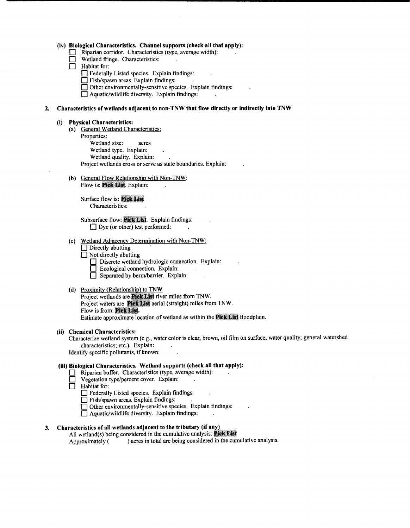#### (iv) Biological Characteristics. Channel supports (check all that apply):

- $\Box$  Riparian corridor. Characteristics (type, average width):
	- Wetland fringe. Characteristics:
- $\Box$  Habitat for:
	- D Federally Listed species. Explain findings:
	- $\Box$  Fish/spawn areas. Explain findings:
	- $\Box$  Other environmentally-sensitive species. Explain findings:
	- $\Box$  Aquatic/wildlife diversity. Explain findings:

## 2. Characteristics of wetlands adjacent to non-TNW that flow directly or indirectly into TNW

# (i) Physical Characteristics:

- (a) General Wetland Characteristics: Properties: Wetland size: acres Wetland type. Explain: Wetland quality. Explain: Project wetlands cross or serve as state boundaries. Explain:
- (b) General Flow Relationship with Non-TNW: Flow is: **Pick List**. Explain:

Surface flow is: Pick List Characteristics:

Subsurface flow: Pick List. Explain findings:  $\Box$  Dye (or other) test performed:

- (c) Wetland Adjacency Determination with Non-TNW:
	- $\Box$  Directly abutting
	- $\Box$  Not directly abutting
		- Discrete wetland hydrologic connection. Explain:
		- $\Box$  Ecological connection. Explain:
		- Separated by berm/barrier. Explain:

# (d) Proximity (Relationship) to TNW

Project wetlands are Pick List river miles from TNW. Project waters are Pick List aerial (straight) miles from TNW. Flow is from: Pick List. Estimate approximate location of wetland as within the **Pick List** floodplain.

#### (ii) Chemical Characteristics:

Characterize wetland system (e.g., water color is clear, brown, oil film on surface; water quality; general watershed characteristics; etc.). Explain:

Identify specific pollutants, if known:

#### (iii) Biological Characteristics. Wetland supports (check all that apply):

- D Riparian buffer. Characteristics (type, average width):
	- Vegetation type/percent cover. Explain:
- $\Box$  Habitat for:
	- $\Box$  Federally Listed species. Explain findings:
	- $\Box$  Fish/spawn areas. Explain findings:
	- D Other environmentally-sensitive species. Explain findings:
	- $\Box$  Aquatic/wildlife diversity. Explain findings:

# 3. Characteristics of all wetlands adjacent to the tributary (if any)

All wetland(s) being considered in the cumulative analysis: Pick List Approximately ( ) acres in total are being considered in the cumulative analysis.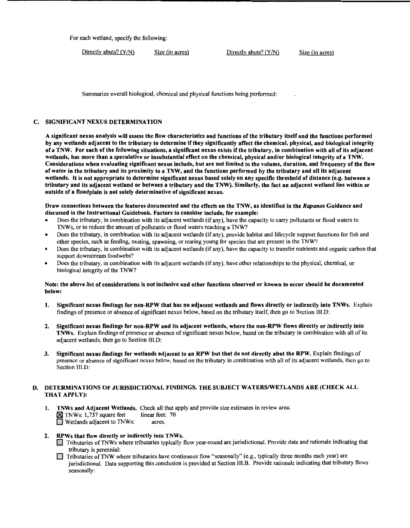For each wetland, specify the following:

Directly abuts? (Y/N) Size (in acres) Directly abuts? (Y/N) Size (in acres)

Summarize overall biological, chemical and physical functions being performed:

# C. SIGNIFICANT NEXUS DETERMINATION

A significant nexus analysis will assess the flow characteristics and functions of the tributary itself and the functions performed by any wetlands adjacent to the tributary to determine if they significantly affect the chemical, physical, and biological integrity of a TNW. For each of the following situations, a significant nexus exists if the tributary, in combination with all of its adjacent wetlands, has more than a speculative or insubstantial effect on the chemical, physical and/or biological integrity of a TNW. Considerations when evaluating significant nexus include, but are not limited to the volume, duration, and frequency of the flow of water in the tributary and its proximity to a TNW, and the functions performed by the tributary and all its adjacent wetlands. It is not appropriate to determine significant nexus based solely on any specific threshold of distance (e.g. between a tributary and its adjacent wetland or between a tributary and the TNW). Similarly, the fact an adjacent wetland lies within or outside of a floodplain is not solely determinative of significant nexus.

#### Draw connections between the features documented and the effects on the TNW, as identified in the Rapanos Guidance and discussed in the Instructional Guidebook. Factors to consider include, for example:

- Does the tributary, in combination with its adjacent wetlands (if any), have the capacity to carry pollutants or flood waters to TNWs, or to reduce the amount of pollutants or flood waters reaching a TNW?
- Does the tributary, in combination with its adjacent wetlands (if any), provide habitat and lifecycle support functions for fish and other species, such as feeding, nesting, spawning, or rearing young for species that are present in the TNW?
- Does the tributary, in combination with its adjacent wetlands (if any), have the capacity to transfer nutrients and organic carbon that support downstream foodwebs?
- Does the tributary, in combination with its adjacent wetlands (if any), have other relationships to the physical, chemical, or biological integrity of the TNW?

## Note: the above list of considerations is not inclusive and other functions observed or known to occur should be documented below:

- 1. Significant nexus findings for non-RPW that has no adjacent wetlands and flows directly or indirectly into TNWs. Explain findings of presence or absence of significant nexus below, based on the tributary itself, then go to Section III.D:
- 2. Significant nexus findings for non-RPW and its adjacent wetlands, where the non-RPW flows directly or indirectly into TNWs. Explain findings of presence or absence of significant nexus below, based on the tributary in combination with all of its adjacent wetlands, then go to Section Ill.D:
- 3. Significant nexus findings for wetlands adjacent to an RPW but that do not directly abut the RPW. Explain findings of presence or absence of significant nexus below, based on the tributary in combination with all of its adjacent wetlands, then go to Section III.D:

## D. DETERMINATIONS OF JURISDICTIONAL FINDINGS. THE SUBJECT WATERS/WETLANDS ARE (CHECK ALL THAT APPLY):

1. TNWs and Adjacent Wetlands. Check all that apply and provide size estimates in review area:  $\boxtimes$  TNWs: 1,737 square feet linear feet: 70 **E** Wetlands adjacent to TNWs: acres.

# 2. RPWs that flow directly or indirectly into TNWs.

- Tributaries of TNWs where tributaries typically flow year-round are jurisdictional. Provide data and rationale indicating that tributary is perennial:
- Tributaries of TNW where tributaries have continuous flow "seasonally" (e.g., typically three months each year) are jurisdictional. Data supporting this conclusion is provided at Section Ill.B. Provide rationale indicating that tributary flows seasonally: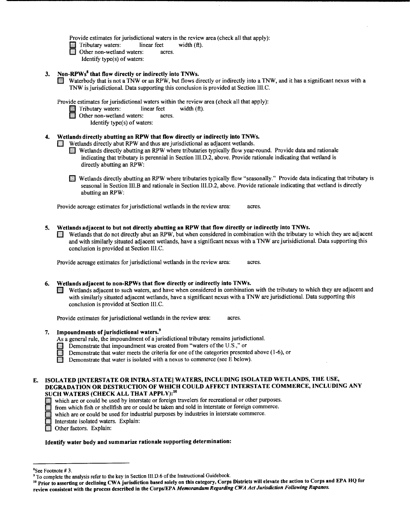Provide estimates for jurisdictional waters in the review area (check all that apply):

- Tributary waters: linear feet width  $(f)$ .<br>Other non-wetland waters: acres.
- Other non-wetland waters: Identify type(s) of waters:

# 3. Non-RPWs<sup>8</sup> that flow directly or indirectly into TNWs.

Waterbody that is not a TNW or an RPW, but flows directly or indirectly into a TNW, and it has a significant nexus with a TNW is jurisdictional. Data supporting this conclusion is provided at Section III. C.

Provide estimates for jurisdictional waters within the review area (check all that apply):

- Tributary waters: linear feet width  $(ft)$ .<br>Other non-wetland waters: acres.
	- Other non-wetland waters: acres.
		- Identify type(s) of waters:

# 4. Wetlands directly abutting an RPW that flow directly or indirectly into TNWs.

Wetlands directly abut RPW and thus are jurisdictional as adjacent wetlands.

- 0 Wetlands directly abutting an RPW where tributaries typically flow year-round. Provide data and rationale indicating that tributary is perennial in Section III.D.2, above. Provide rationale indicating that wetland is directly abutting an RPW:
- 0 Wetlands directly abutting an RPW where tributaries typically flow "seasonally." Provide data indicating that tributary is seasonal in Section III.B and rationale in Section III.D.2, above. Provide rationale indicating that wetland is directly abutting an RPW:

Provide acreage estimates for jurisdictional wetlands in the review area: acres.

- 5. Wetlands adjacent to but not directly abutting an RPW that flow directly or indirectly into TNWs.
	- Wetlands that do not directly abut an RPW, but when considered in combination with the tributary to which they are adjacent and with similarly situated adjacent wetlands, have a significant nexus with a TNW are jurisidictional. Data supporting this conclusion is provided at Section III.C.

Provide acreage estimates for jurisdictional wetlands in the review area: acres.

# Wetlands adjacent to non-RPWs that flow directly or indirectly into TNWs.

Wetlands adjacent to such waters, and have when considered in combination with the tributary to which they are adjacent and with similarly situated adjacent wetlands, have a significant nexus with a TNW are jurisdictional. Data supporting this conclusion is provided at Section III.C.

Provide estimates for jurisdictional wetlands in the review area: acres.

# 7. Impoundments of jurisdictional waters.<sup>9</sup>

- As a general rule, the impoundment of a jurisdictional tributary remains jurisdictional.
- **Demonstrate that impoundment was created from "waters of the U.S.," or**
- Demonstrate that water meets the criteria for one of the categories presented above (1-6), or
- **Demonstrate that water is isolated with a nexus to commerce (see E below).**

## E. ISOLATED [INTERSTATE OR INTRA-STATE] WATERS, INCLUDING ISOLATED WETLANDS, THE USE, DEGRADATION OR DESTRUCTION OF WHICH COULD AFFECT INTERSTATE COMMERCE, INCLUDING ANY SUCH WATERS (CHECK ALL THAT APPLY):<sup>10</sup>

- which are or could be used by interstate or foreign travelers for recreational or other purposes.<br>
Form which fish or shellfish are or could be taken and sold in interstate or foreign commerce.
- **1** from which fish or shellfish are or could be taken and sold in interstate or foreign commerce.<br>which are or could be used for industrial purposes by industries in interstate commerce.<br>Interstate isolated waters. Explai
	- which are or could be used for industrial purposes by industries in interstate commerce.
- Interstate isolated waters. Explain:
- Other factors. Explain:

# Identify water body and summarize rationale supporting determination:

<sup>&</sup>lt;sup>8</sup>See Footnote # 3.<br><sup>9</sup> To complete the analysis refer to the key in Section III.D.6 of the Instructional Guidebook.<br><sup>10</sup> Prior to asserting or declining CWA jurisdiction based solely on this category, Corps Districts wil review consistent with the process described in the Corps/EPA *Memorandum Regarding CWA Act Jurisdiction Following Rapanos.*